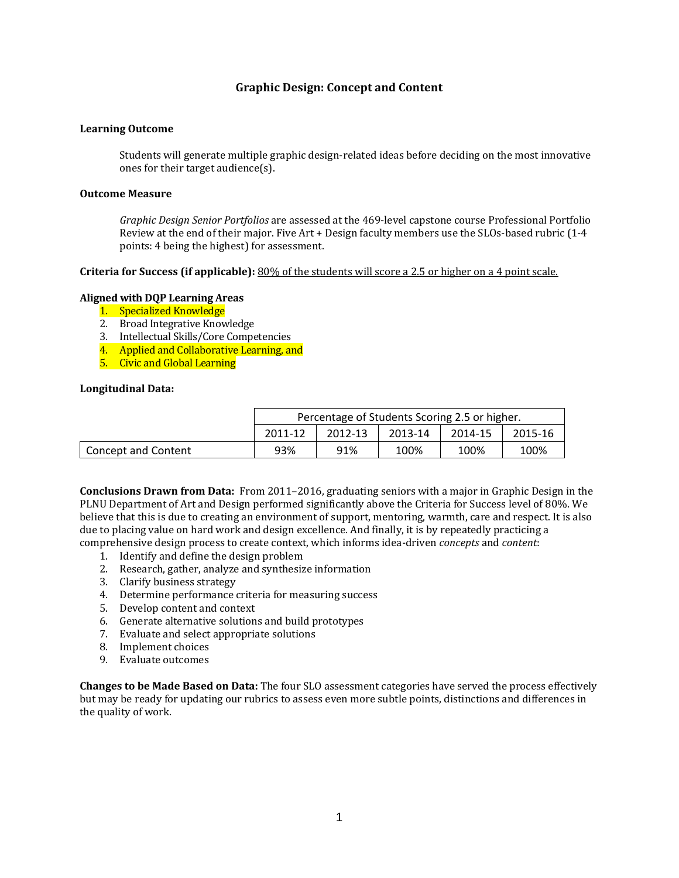## **Graphic Design: Concept and Content**

#### **Learning Outcome**

Students will generate multiple graphic design-related ideas before deciding on the most innovative ones for their target audience $(s)$ .

#### **Outcome Measure**

*Graphic Design Senior Portfolios* are assessed at the 469-level capstone course Professional Portfolio Review at the end of their major. Five  $Art + Design$  faculty members use the SLOs-based rubric  $(1-4)$ points: 4 being the highest) for assessment.

#### **Criteria** for Success (if applicable): 80% of the students will score a 2.5 or higher on a 4 point scale.

### **Aligned with DQP Learning Areas**

- 1. Specialized Knowledge
- 2. Broad Integrative Knowledge
- 3. Intellectual Skills/Core Competencies
- 4. Applied and Collaborative Learning, and
- 5. Civic and Global Learning

#### **Longitudinal Data:**

|                     | Percentage of Students Scoring 2.5 or higher. |         |         |         |         |
|---------------------|-----------------------------------------------|---------|---------|---------|---------|
|                     | 2011-12                                       | 2012-13 | 2013-14 | 2014-15 | 2015-16 |
| Concept and Content | 93%                                           | 91%     | 100%    | 100%    | 100%    |

**Conclusions Drawn from Data:** From 2011–2016, graduating seniors with a major in Graphic Design in the PLNU Department of Art and Design performed significantly above the Criteria for Success level of 80%. We believe that this is due to creating an environment of support, mentoring, warmth, care and respect. It is also due to placing value on hard work and design excellence. And finally, it is by repeatedly practicing a comprehensive design process to create context, which informs idea-driven *concepts* and *content*:

- 1. Identify and define the design problem
- 2. Research, gather, analyze and synthesize information
- 3. Clarify business strategy
- 4. Determine performance criteria for measuring success
- 5. Develop content and context
- 6. Generate alternative solutions and build prototypes
- 7. Evaluate and select appropriate solutions
- 8. Implement choices
- 9. Evaluate outcomes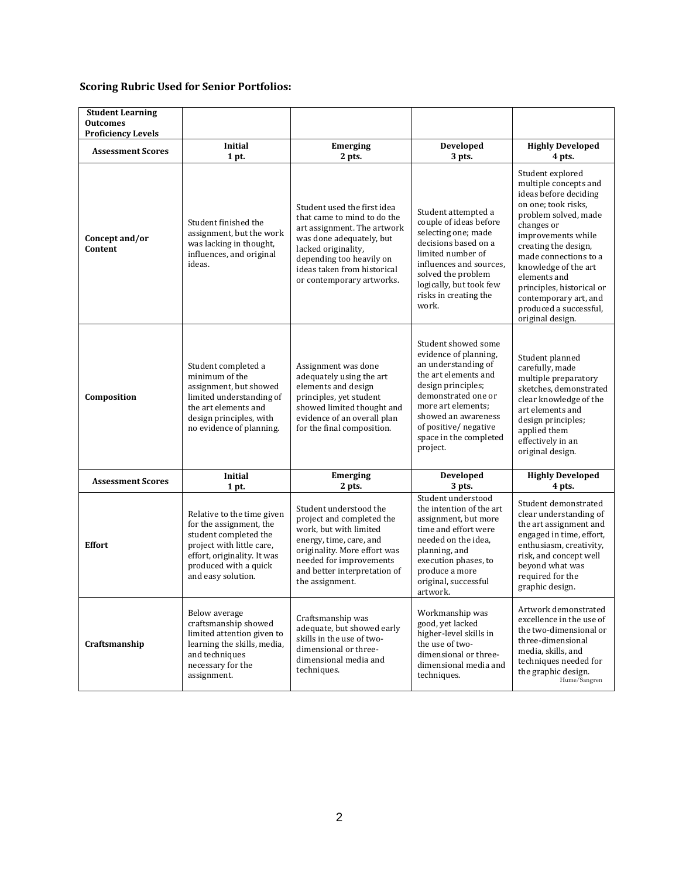| <b>Student Learning</b><br><b>Outcomes</b><br><b>Proficiency Levels</b> |                                                                                                                                                                                           |                                                                                                                                                                                                                                      |                                                                                                                                                                                                                                                     |                                                                                                                                                                                                                                                                                                                                                    |
|-------------------------------------------------------------------------|-------------------------------------------------------------------------------------------------------------------------------------------------------------------------------------------|--------------------------------------------------------------------------------------------------------------------------------------------------------------------------------------------------------------------------------------|-----------------------------------------------------------------------------------------------------------------------------------------------------------------------------------------------------------------------------------------------------|----------------------------------------------------------------------------------------------------------------------------------------------------------------------------------------------------------------------------------------------------------------------------------------------------------------------------------------------------|
| <b>Assessment Scores</b>                                                | Initial<br>1 pt.                                                                                                                                                                          | Emerging<br>2 pts.                                                                                                                                                                                                                   | <b>Developed</b><br>3 pts.                                                                                                                                                                                                                          | <b>Highly Developed</b><br>4 pts.                                                                                                                                                                                                                                                                                                                  |
| Concept and/or<br>Content                                               | Student finished the<br>assignment, but the work<br>was lacking in thought,<br>influences, and original<br>ideas.                                                                         | Student used the first idea<br>that came to mind to do the<br>art assignment. The artwork<br>was done adequately, but<br>lacked originality,<br>depending too heavily on<br>ideas taken from historical<br>or contemporary artworks. | Student attempted a<br>couple of ideas before<br>selecting one; made<br>decisions based on a<br>limited number of<br>influences and sources.<br>solved the problem<br>logically, but took few<br>risks in creating the<br>work.                     | Student explored<br>multiple concepts and<br>ideas before deciding<br>on one; took risks,<br>problem solved, made<br>changes or<br>improvements while<br>creating the design,<br>made connections to a<br>knowledge of the art<br>elements and<br>principles, historical or<br>contemporary art, and<br>produced a successful,<br>original design. |
| Composition                                                             | Student completed a<br>minimum of the<br>assignment, but showed<br>limited understanding of<br>the art elements and<br>design principles, with<br>no evidence of planning.                | Assignment was done<br>adequately using the art<br>elements and design<br>principles, yet student<br>showed limited thought and<br>evidence of an overall plan<br>for the final composition.                                         | Student showed some<br>evidence of planning,<br>an understanding of<br>the art elements and<br>design principles;<br>demonstrated one or<br>more art elements;<br>showed an awareness<br>of positive/negative<br>space in the completed<br>project. | Student planned<br>carefully, made<br>multiple preparatory<br>sketches, demonstrated<br>clear knowledge of the<br>art elements and<br>design principles;<br>applied them<br>effectively in an<br>original design.                                                                                                                                  |
| <b>Assessment Scores</b>                                                | <b>Initial</b><br>1 pt.                                                                                                                                                                   | <b>Emerging</b><br>2 pts.                                                                                                                                                                                                            | Developed<br>3 pts.                                                                                                                                                                                                                                 | <b>Highly Developed</b><br>4 pts.                                                                                                                                                                                                                                                                                                                  |
| <b>Effort</b>                                                           | Relative to the time given<br>for the assignment, the<br>student completed the<br>project with little care,<br>effort, originality. It was<br>produced with a quick<br>and easy solution. | Student understood the<br>project and completed the<br>work, but with limited<br>energy, time, care, and<br>originality. More effort was<br>needed for improvements<br>and better interpretation of<br>the assignment.               | Student understood<br>the intention of the art<br>assignment, but more<br>time and effort were<br>needed on the idea,<br>planning, and<br>execution phases, to<br>produce a more<br>original, successful<br>artwork.                                | Student demonstrated<br>clear understanding of<br>the art assignment and<br>engaged in time, effort,<br>enthusiasm, creativity,<br>risk, and concept well<br>beyond what was<br>required for the<br>graphic design.                                                                                                                                |
| Craftsmanship                                                           | Below average<br>craftsmanship showed<br>limited attention given to<br>learning the skills, media,<br>and techniques<br>necessary for the<br>assignment.                                  | Craftsmanship was<br>adequate, but showed early<br>skills in the use of two-<br>dimensional or three-<br>dimensional media and<br>techniques.                                                                                        | Workmanship was<br>good, yet lacked<br>higher-level skills in<br>the use of two-<br>dimensional or three-<br>dimensional media and<br>techniques.                                                                                                   | Artwork demonstrated<br>excellence in the use of<br>the two-dimensional or<br>three-dimensional<br>media, skills, and<br>techniques needed for<br>the graphic design.<br>Hume/Sangren                                                                                                                                                              |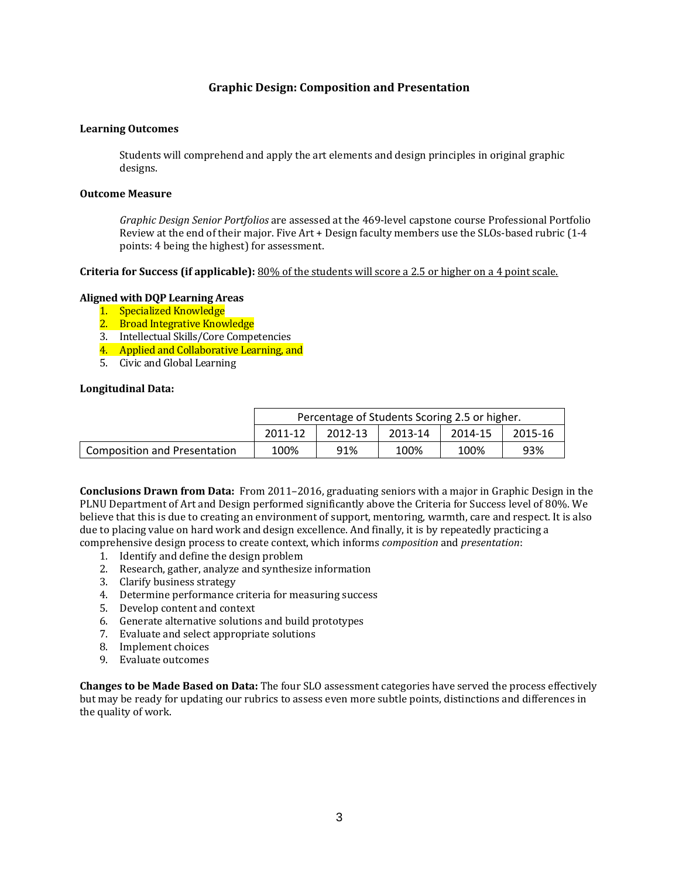## **Graphic Design: Composition and Presentation**

### **Learning Outcomes**

Students will comprehend and apply the art elements and design principles in original graphic designs. 

#### **Outcome Measure**

*Graphic Design Senior Portfolios* are assessed at the 469-level capstone course Professional Portfolio Review at the end of their major. Five  $Art + Design$  faculty members use the SLOs-based rubric  $(1-4)$ points: 4 being the highest) for assessment.

#### **Criteria** for Success (if applicable): 80% of the students will score a 2.5 or higher on a 4 point scale.

#### **Aligned with DQP Learning Areas**

- 1. Specialized Knowledge
- 2. Broad Integrative Knowledge
- 3. Intellectual Skills/Core Competencies
- 4. Applied and Collaborative Learning, and
- 5. Civic and Global Learning

#### **Longitudinal Data:**

|                                     | Percentage of Students Scoring 2.5 or higher. |         |         |         |         |
|-------------------------------------|-----------------------------------------------|---------|---------|---------|---------|
|                                     | 2011-12                                       | 2012-13 | 2013-14 | 2014-15 | 2015-16 |
| <b>Composition and Presentation</b> | 100%                                          | 91%     | 100%    | 100%    | 93%     |

**Conclusions Drawn from Data:** From 2011–2016, graduating seniors with a major in Graphic Design in the PLNU Department of Art and Design performed significantly above the Criteria for Success level of 80%. We believe that this is due to creating an environment of support, mentoring, warmth, care and respect. It is also due to placing value on hard work and design excellence. And finally, it is by repeatedly practicing a comprehensive design process to create context, which informs *composition* and *presentation*: 

- 1. Identify and define the design problem
- 2. Research, gather, analyze and synthesize information
- 3. Clarify business strategy
- 4. Determine performance criteria for measuring success
- 5. Develop content and context
- 6. Generate alternative solutions and build prototypes
- 7. Evaluate and select appropriate solutions
- 8. Implement choices
- 9. Evaluate outcomes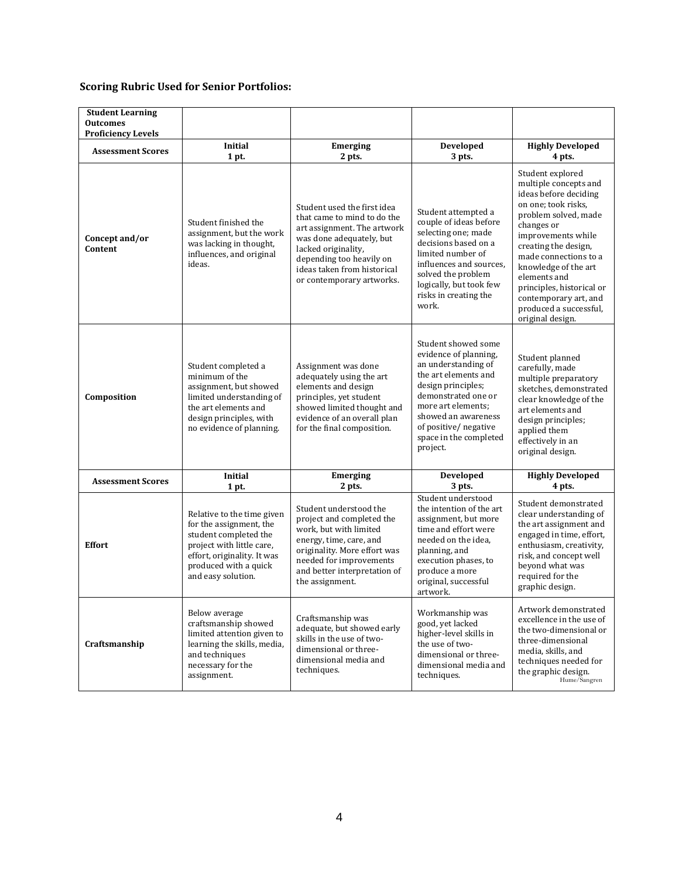| <b>Student Learning</b><br><b>Outcomes</b><br><b>Proficiency Levels</b> |                                                                                                                                                                                           |                                                                                                                                                                                                                                      |                                                                                                                                                                                                                                                     |                                                                                                                                                                                                                                                                                                                                                    |
|-------------------------------------------------------------------------|-------------------------------------------------------------------------------------------------------------------------------------------------------------------------------------------|--------------------------------------------------------------------------------------------------------------------------------------------------------------------------------------------------------------------------------------|-----------------------------------------------------------------------------------------------------------------------------------------------------------------------------------------------------------------------------------------------------|----------------------------------------------------------------------------------------------------------------------------------------------------------------------------------------------------------------------------------------------------------------------------------------------------------------------------------------------------|
| <b>Assessment Scores</b>                                                | Initial<br>1 pt.                                                                                                                                                                          | <b>Emerging</b><br>2 pts.                                                                                                                                                                                                            | Developed<br>3 pts.                                                                                                                                                                                                                                 | <b>Highly Developed</b><br>4 pts.                                                                                                                                                                                                                                                                                                                  |
| Concept and/or<br>Content                                               | Student finished the<br>assignment, but the work<br>was lacking in thought,<br>influences, and original<br>ideas.                                                                         | Student used the first idea<br>that came to mind to do the<br>art assignment. The artwork<br>was done adequately, but<br>lacked originality,<br>depending too heavily on<br>ideas taken from historical<br>or contemporary artworks. | Student attempted a<br>couple of ideas before<br>selecting one; made<br>decisions based on a<br>limited number of<br>influences and sources.<br>solved the problem<br>logically, but took few<br>risks in creating the<br>work.                     | Student explored<br>multiple concepts and<br>ideas before deciding<br>on one; took risks,<br>problem solved, made<br>changes or<br>improvements while<br>creating the design,<br>made connections to a<br>knowledge of the art<br>elements and<br>principles, historical or<br>contemporary art, and<br>produced a successful,<br>original design. |
| Composition                                                             | Student completed a<br>minimum of the<br>assignment, but showed<br>limited understanding of<br>the art elements and<br>design principles, with<br>no evidence of planning.                | Assignment was done<br>adequately using the art<br>elements and design<br>principles, yet student<br>showed limited thought and<br>evidence of an overall plan<br>for the final composition.                                         | Student showed some<br>evidence of planning,<br>an understanding of<br>the art elements and<br>design principles;<br>demonstrated one or<br>more art elements:<br>showed an awareness<br>of positive/negative<br>space in the completed<br>project. | Student planned<br>carefully, made<br>multiple preparatory<br>sketches, demonstrated<br>clear knowledge of the<br>art elements and<br>design principles;<br>applied them<br>effectively in an<br>original design.                                                                                                                                  |
| <b>Assessment Scores</b>                                                | <b>Initial</b><br>1 pt.                                                                                                                                                                   | <b>Emerging</b><br>2 pts.                                                                                                                                                                                                            | Developed<br>3 pts.                                                                                                                                                                                                                                 | <b>Highly Developed</b><br>4 pts.                                                                                                                                                                                                                                                                                                                  |
| <b>Effort</b>                                                           | Relative to the time given<br>for the assignment, the<br>student completed the<br>project with little care,<br>effort, originality. It was<br>produced with a quick<br>and easy solution. | Student understood the<br>project and completed the<br>work, but with limited<br>energy, time, care, and<br>originality. More effort was<br>needed for improvements<br>and better interpretation of<br>the assignment.               | Student understood<br>the intention of the art<br>assignment, but more<br>time and effort were<br>needed on the idea,<br>planning, and<br>execution phases, to<br>produce a more<br>original, successful<br>artwork.                                | Student demonstrated<br>clear understanding of<br>the art assignment and<br>engaged in time, effort,<br>enthusiasm, creativity,<br>risk, and concept well<br>beyond what was<br>required for the<br>graphic design.                                                                                                                                |
| Craftsmanship                                                           | Below average<br>craftsmanship showed<br>limited attention given to<br>learning the skills, media,<br>and techniques<br>necessary for the<br>assignment.                                  | Craftsmanship was<br>adequate, but showed early<br>skills in the use of two-<br>dimensional or three-<br>dimensional media and<br>techniques.                                                                                        | Workmanship was<br>good, yet lacked<br>higher-level skills in<br>the use of two-<br>dimensional or three-<br>dimensional media and<br>techniques.                                                                                                   | Artwork demonstrated<br>excellence in the use of<br>the two-dimensional or<br>three-dimensional<br>media, skills, and<br>techniques needed for<br>the graphic design.<br>Hume/Sangren                                                                                                                                                              |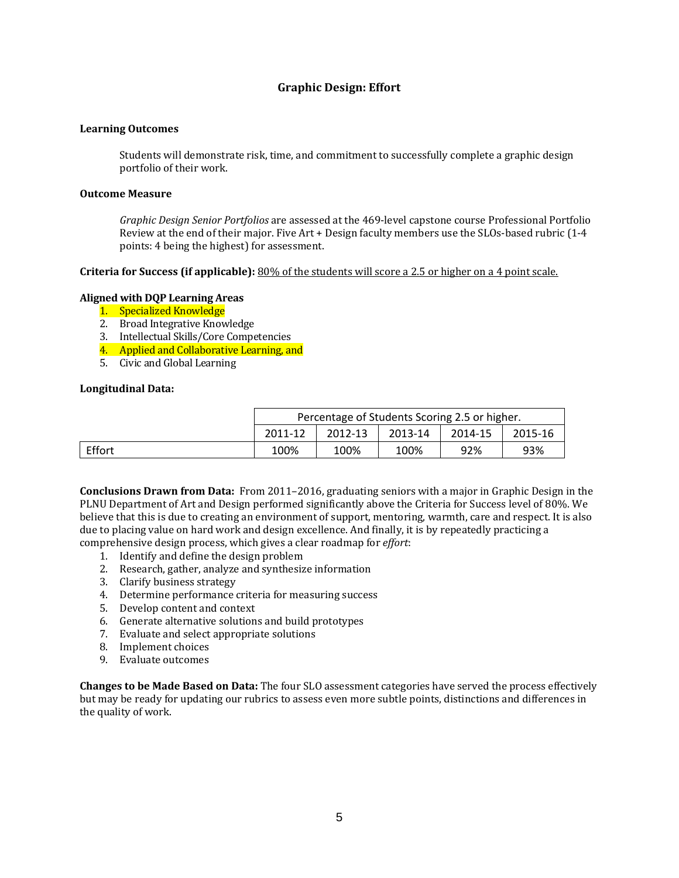## **Graphic Design: Effort**

### **Learning Outcomes**

Students will demonstrate risk, time, and commitment to successfully complete a graphic design portfolio of their work.

#### **Outcome Measure**

*Graphic Design Senior Portfolios* are assessed at the 469-level capstone course Professional Portfolio Review at the end of their major. Five  $Art + Design$  faculty members use the SLOs-based rubric  $(1-4)$ points: 4 being the highest) for assessment.

#### **Criteria** for Success (if applicable): 80% of the students will score a 2.5 or higher on a 4 point scale.

### **Aligned with DQP Learning Areas**

- 1. Specialized Knowledge
- 2. Broad Integrative Knowledge
- 3. Intellectual Skills/Core Competencies
- 4. Applied and Collaborative Learning, and
- 5. Civic and Global Learning

#### **Longitudinal Data:**

|        | Percentage of Students Scoring 2.5 or higher. |         |         |         |         |
|--------|-----------------------------------------------|---------|---------|---------|---------|
|        | 2011-12                                       | 2012-13 | 2013-14 | 2014-15 | 2015-16 |
| Effort | 100%                                          | 100%    | 100%    | 92%     | 93%     |

**Conclusions Drawn from Data:** From 2011–2016, graduating seniors with a major in Graphic Design in the PLNU Department of Art and Design performed significantly above the Criteria for Success level of 80%. We believe that this is due to creating an environment of support, mentoring, warmth, care and respect. It is also due to placing value on hard work and design excellence. And finally, it is by repeatedly practicing a comprehensive design process, which gives a clear roadmap for *effort*:

- 1. Identify and define the design problem
- 2. Research, gather, analyze and synthesize information
- 3. Clarify business strategy
- 4. Determine performance criteria for measuring success
- 5. Develop content and context
- 6. Generate alternative solutions and build prototypes
- 7. Evaluate and select appropriate solutions
- 8. Implement choices
- 9. Evaluate outcomes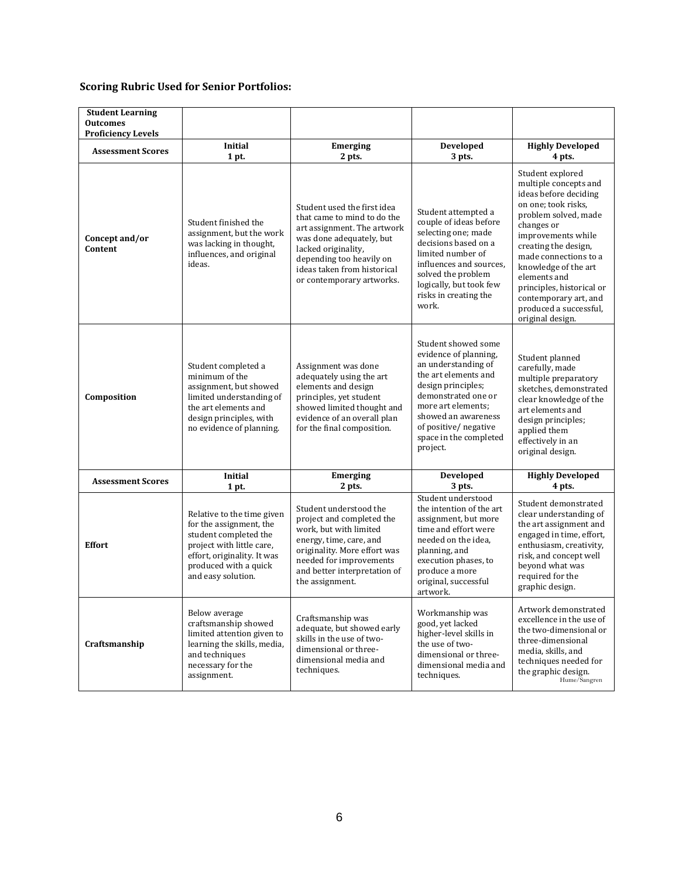| <b>Student Learning</b><br><b>Outcomes</b><br><b>Proficiency Levels</b> |                                                                                                                                                                                           |                                                                                                                                                                                                                                      |                                                                                                                                                                                                                                                     |                                                                                                                                                                                                                                                                                                                                                    |
|-------------------------------------------------------------------------|-------------------------------------------------------------------------------------------------------------------------------------------------------------------------------------------|--------------------------------------------------------------------------------------------------------------------------------------------------------------------------------------------------------------------------------------|-----------------------------------------------------------------------------------------------------------------------------------------------------------------------------------------------------------------------------------------------------|----------------------------------------------------------------------------------------------------------------------------------------------------------------------------------------------------------------------------------------------------------------------------------------------------------------------------------------------------|
| <b>Assessment Scores</b>                                                | Initial<br>1 pt.                                                                                                                                                                          | <b>Emerging</b><br>2 pts.                                                                                                                                                                                                            | Developed<br>3 pts.                                                                                                                                                                                                                                 | <b>Highly Developed</b><br>4 pts.                                                                                                                                                                                                                                                                                                                  |
| Concept and/or<br>Content                                               | Student finished the<br>assignment, but the work<br>was lacking in thought,<br>influences, and original<br>ideas.                                                                         | Student used the first idea<br>that came to mind to do the<br>art assignment. The artwork<br>was done adequately, but<br>lacked originality,<br>depending too heavily on<br>ideas taken from historical<br>or contemporary artworks. | Student attempted a<br>couple of ideas before<br>selecting one; made<br>decisions based on a<br>limited number of<br>influences and sources.<br>solved the problem<br>logically, but took few<br>risks in creating the<br>work.                     | Student explored<br>multiple concepts and<br>ideas before deciding<br>on one; took risks,<br>problem solved, made<br>changes or<br>improvements while<br>creating the design,<br>made connections to a<br>knowledge of the art<br>elements and<br>principles, historical or<br>contemporary art, and<br>produced a successful,<br>original design. |
| Composition                                                             | Student completed a<br>minimum of the<br>assignment, but showed<br>limited understanding of<br>the art elements and<br>design principles, with<br>no evidence of planning.                | Assignment was done<br>adequately using the art<br>elements and design<br>principles, yet student<br>showed limited thought and<br>evidence of an overall plan<br>for the final composition.                                         | Student showed some<br>evidence of planning,<br>an understanding of<br>the art elements and<br>design principles;<br>demonstrated one or<br>more art elements:<br>showed an awareness<br>of positive/negative<br>space in the completed<br>project. | Student planned<br>carefully, made<br>multiple preparatory<br>sketches, demonstrated<br>clear knowledge of the<br>art elements and<br>design principles;<br>applied them<br>effectively in an<br>original design.                                                                                                                                  |
| <b>Assessment Scores</b>                                                | <b>Initial</b><br>1 pt.                                                                                                                                                                   | <b>Emerging</b><br>2 pts.                                                                                                                                                                                                            | Developed<br>3 pts.                                                                                                                                                                                                                                 | <b>Highly Developed</b><br>4 pts.                                                                                                                                                                                                                                                                                                                  |
| <b>Effort</b>                                                           | Relative to the time given<br>for the assignment, the<br>student completed the<br>project with little care,<br>effort, originality. It was<br>produced with a quick<br>and easy solution. | Student understood the<br>project and completed the<br>work, but with limited<br>energy, time, care, and<br>originality. More effort was<br>needed for improvements<br>and better interpretation of<br>the assignment.               | Student understood<br>the intention of the art<br>assignment, but more<br>time and effort were<br>needed on the idea,<br>planning, and<br>execution phases, to<br>produce a more<br>original, successful<br>artwork.                                | Student demonstrated<br>clear understanding of<br>the art assignment and<br>engaged in time, effort,<br>enthusiasm, creativity,<br>risk, and concept well<br>beyond what was<br>required for the<br>graphic design.                                                                                                                                |
| Craftsmanship                                                           | Below average<br>craftsmanship showed<br>limited attention given to<br>learning the skills, media,<br>and techniques<br>necessary for the<br>assignment.                                  | Craftsmanship was<br>adequate, but showed early<br>skills in the use of two-<br>dimensional or three-<br>dimensional media and<br>techniques.                                                                                        | Workmanship was<br>good, yet lacked<br>higher-level skills in<br>the use of two-<br>dimensional or three-<br>dimensional media and<br>techniques.                                                                                                   | Artwork demonstrated<br>excellence in the use of<br>the two-dimensional or<br>three-dimensional<br>media, skills, and<br>techniques needed for<br>the graphic design.<br>Hume/Sangren                                                                                                                                                              |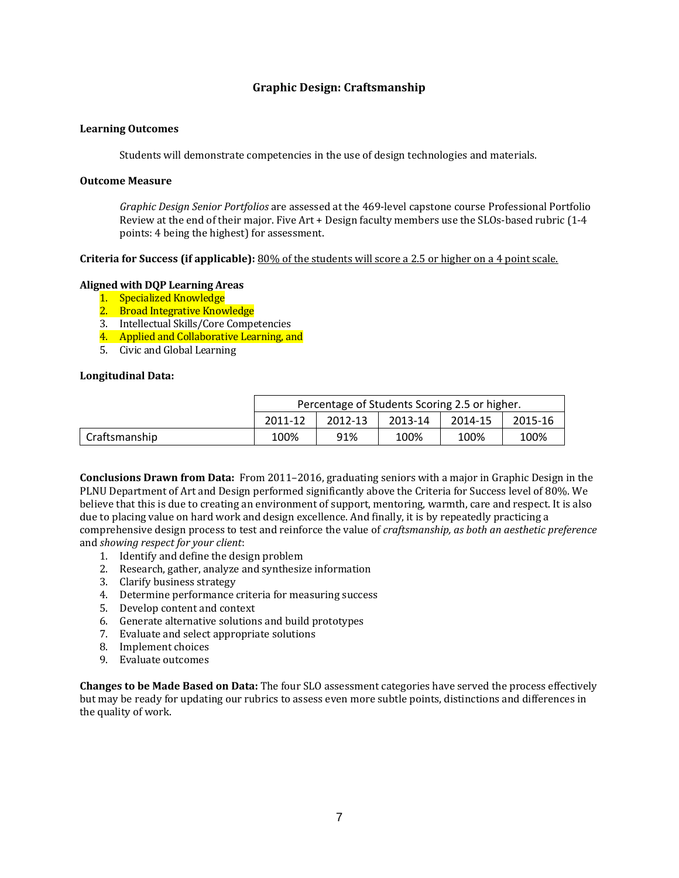# **Graphic Design: Craftsmanship**

### **Learning Outcomes**

Students will demonstrate competencies in the use of design technologies and materials.

## **Outcome Measure**

*Graphic Design Senior Portfolios* are assessed at the 469-level capstone course Professional Portfolio Review at the end of their major. Five  $Art + Design$  faculty members use the SLOs-based rubric  $(1-4)$ points: 4 being the highest) for assessment.

## **Criteria** for Success (if applicable): 80% of the students will score a 2.5 or higher on a 4 point scale.

## **Aligned with DQP Learning Areas**

- 1. Specialized Knowledge
- 2. Broad Integrative Knowledge
- 3. Intellectual Skills/Core Competencies
- 4. Applied and Collaborative Learning, and
- 5. Civic and Global Learning

## **Longitudinal Data:**

|                 | Percentage of Students Scoring 2.5 or higher. |         |         |         |         |
|-----------------|-----------------------------------------------|---------|---------|---------|---------|
|                 | 2011-12                                       | 2012-13 | 2013-14 | 2014-15 | 2015-16 |
| l Craftsmanship | 100%                                          | 91%     | 100%    | 100%    | 100%    |

**Conclusions Drawn from Data:** From 2011–2016, graduating seniors with a major in Graphic Design in the PLNU Department of Art and Design performed significantly above the Criteria for Success level of 80%. We believe that this is due to creating an environment of support, mentoring, warmth, care and respect. It is also due to placing value on hard work and design excellence. And finally, it is by repeatedly practicing a comprehensive design process to test and reinforce the value of *craftsmanship, as both an aesthetic preference* and *showing respect for your client*: 

- 1. Identify and define the design problem
- 2. Research, gather, analyze and synthesize information
- 3. Clarify business strategy
- 4. Determine performance criteria for measuring success
- 5. Develop content and context
- 6. Generate alternative solutions and build prototypes
- 7. Evaluate and select appropriate solutions
- 8. Implement choices
- 9. Evaluate outcomes